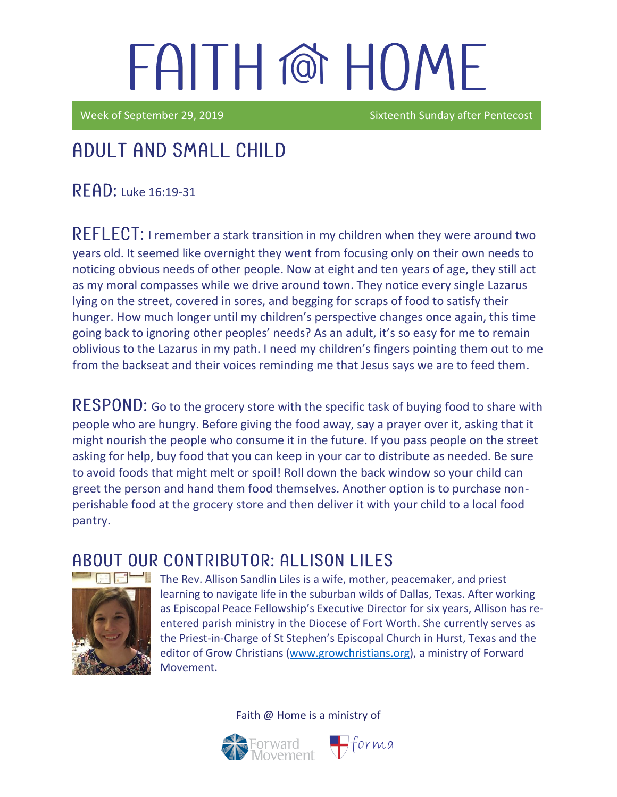Week of September 29, 2019 **Sixteenth Sunday after Pentecost** 

## Adult and Small Child

READ: Luke 16:19-31

REFLECT: I remember a stark transition in my children when they were around two years old. It seemed like overnight they went from focusing only on their own needs to noticing obvious needs of other people. Now at eight and ten years of age, they still act as my moral compasses while we drive around town. They notice every single Lazarus lying on the street, covered in sores, and begging for scraps of food to satisfy their hunger. How much longer until my children's perspective changes once again, this time going back to ignoring other peoples' needs? As an adult, it's so easy for me to remain oblivious to the Lazarus in my path. I need my children's fingers pointing them out to me from the backseat and their voices reminding me that Jesus says we are to feed them.

RESPOND: Go to the grocery store with the specific task of buying food to share with people who are hungry. Before giving the food away, say a prayer over it, asking that it might nourish the people who consume it in the future. If you pass people on the street asking for help, buy food that you can keep in your car to distribute as needed. Be sure to avoid foods that might melt or spoil! Roll down the back window so your child can greet the person and hand them food themselves. Another option is to purchase nonperishable food at the grocery store and then deliver it with your child to a local food pantry.

### A BOUT OUR CONTRIBUTOR: ALLISON LILES



The Rev. Allison Sandlin Liles is a wife, mother, peacemaker, and priest learning to navigate life in the suburban wilds of Dallas, Texas. After working as [Episcopal Peace Fellowship](http://epfnational.org/)'s Executive Director for six years, Allison has reentered parish ministry in the Diocese of Fort Worth. She currently serves as the Priest-in-Charge of [St Stephen's Episcopal Church](http://ssechurst.org/) in Hurst, Texas and the editor of [Grow Christians](http://growchristians.org/) [\(www.growchristians.org\)](http://www.growchristians.org/), a ministry of Forward Movement.

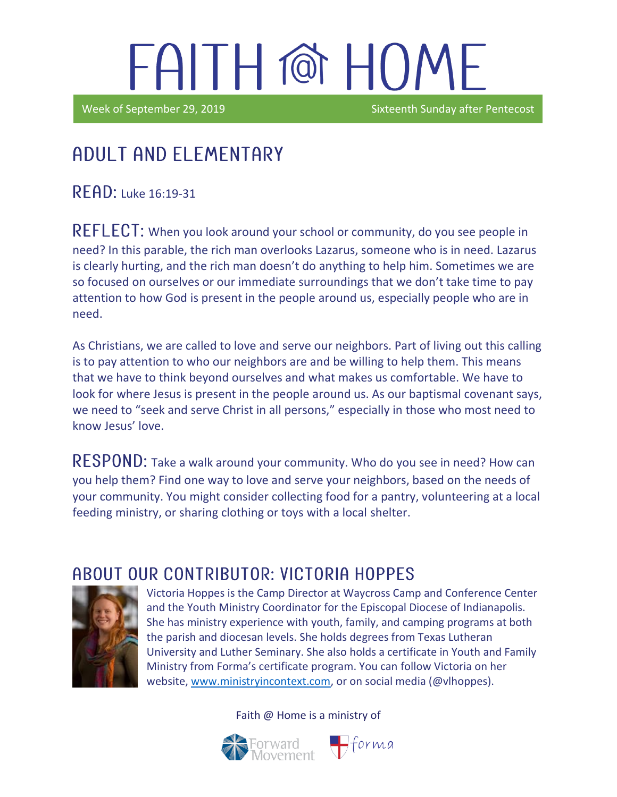Week of September 29, 2019 **Sixteenth Sunday after Pentecost** 

### Adult and elementary

 $READ:$  Luke 16:19-31

i

REFLECT: When you look around your school or community, do you see people in need? In this parable, the rich man overlooks Lazarus, someone who is in need. Lazarus is clearly hurting, and the rich man doesn't do anything to help him. Sometimes we are so focused on ourselves or our immediate surroundings that we don't take time to pay attention to how God is present in the people around us, especially people who are in need.

As Christians, we are called to love and serve our neighbors. Part of living out this calling is to pay attention to who our neighbors are and be willing to help them. This means that we have to think beyond ourselves and what makes us comfortable. We have to look for where Jesus is present in the people around us. As our baptismal covenant says, we need to "seek and serve Christ in all persons," especially in those who most need to know Jesus' love.

RESPOND: Take a walk around your community. Who do you see in need? How can you help them? Find one way to love and serve your neighbors, based on the needs of your community. You might consider collecting food for a pantry, volunteering at a local feeding ministry, or sharing clothing or toys with a local shelter.

### ABOUT OUR CONTRIBUTOR: VICTORIA HOPPES



Victoria Hoppes is the Camp Director at Waycross Camp and Conference Center and the Youth Ministry Coordinator for the Episcopal Diocese of Indianapolis. She has ministry experience with youth, family, and camping programs at both the parish and diocesan levels. She holds degrees from Texas Lutheran University and Luther Seminary. She also holds a certificate in Youth and Family Ministry from Forma's certificate program. You can follow Victoria on her website, [www.ministryincontext.com,](http://www.ministryincontext.com/) or on social media (@vlhoppes).

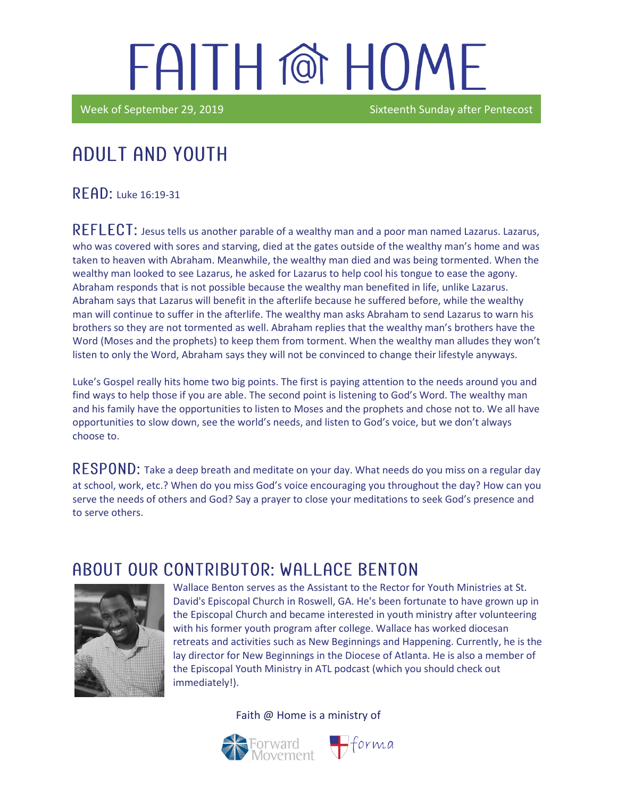Week of September 29, 2019 **Sixteenth Sunday after Pentecost** 

## Adult and youth

 $READ:$  Luke 16:19-31

in the contract of the contract of the contract of the contract of the contract of the contract of the contract of the contract of the contract of the contract of the contract of the contract of the contract of the contrac

REFLECT: Jesus tells us another parable of a wealthy man and a poor man named Lazarus. Lazarus, who was covered with sores and starving, died at the gates outside of the wealthy man's home and was taken to heaven with Abraham. Meanwhile, the wealthy man died and was being tormented. When the wealthy man looked to see Lazarus, he asked for Lazarus to help cool his tongue to ease the agony. Abraham responds that is not possible because the wealthy man benefited in life, unlike Lazarus. Abraham says that Lazarus will benefit in the afterlife because he suffered before, while the wealthy man will continue to suffer in the afterlife. The wealthy man asks Abraham to send Lazarus to warn his brothers so they are not tormented as well. Abraham replies that the wealthy man's brothers have the Word (Moses and the prophets) to keep them from torment. When the wealthy man alludes they won't listen to only the Word, Abraham says they will not be convinced to change their lifestyle anyways.

Luke's Gospel really hits home two big points. The first is paying attention to the needs around you and find ways to help those if you are able. The second point is listening to God's Word. The wealthy man and his family have the opportunities to listen to Moses and the prophets and chose not to. We all have opportunities to slow down, see the world's needs, and listen to God's voice, but we don't always choose to.

 $\mathsf{RESPOND:}$  Take a deep breath and meditate on your day. What needs do you miss on a regular day at school, work, etc.? When do you miss God's voice encouraging you throughout the day? How can you serve the needs of others and God? Say a prayer to close your meditations to seek God's presence and to serve others.

#### ABOUT OUR CONTRIBUTOR: WALLACE BENTON



Wallace Benton serves as the Assistant to the Rector for Youth Ministries at St. David's Episcopal Church in Roswell, GA. He's been fortunate to have grown up in the Episcopal Church and became interested in youth ministry after volunteering with his former youth program after college. Wallace has worked diocesan retreats and activities such as New Beginnings and Happening. Currently, he is the lay director for New Beginnings in the Diocese of Atlanta. He is also a member of the Episcopal Youth Ministry in ATL podcast (which you should check out immediately!).